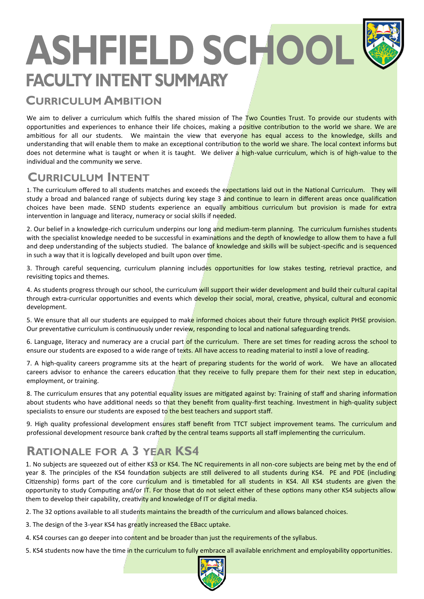# **ASHFIELD SCHOOL FACULTY INTENT SUMMARY**

## **CURRICULUM AMBITION**

We aim to deliver a curriculum which fulfils the shared mission of The Two Counties Trust. To provide our students with opportunities and experiences to enhance their life choices, making a positive contribution to the world we share. We are ambitious for all our students. We maintain the view that everyone has equal access to the knowledge, skills and understanding that will enable them to make an exceptional contribution to the world we share. The local context informs but does not determine what is taught or when it is taught. We deliver a high-value curriculum, which is of high-value to the individual and the community we serve.

#### **CURRICULUM INTENT**

1. The curriculum offered to all students matches and exceeds the expectations laid out in the National Curriculum. They will study a broad and balanced range of subjects during key stage 3 and continue to learn in different areas once qualification choices have been made. SEND students experience an equally ambitious curriculum but provision is made for extra intervention in language and literacy, numeracy or social skills if needed.

2. Our belief in a knowledge-rich curriculum underpins our long and medium-term planning. The curriculum furnishes students with the specialist knowledge needed to be successful in examinations and the depth of knowledge to allow them to have a full and deep understanding of the subjects studied. The balance of knowledge and skills will be subject-specific and is sequenced in such a way that it is logically developed and built upon over time.

3. Through careful sequencing, curriculum planning includes opportunities for low stakes testing, retrieval practice, and revisiting topics and themes.

4. As students progress through our school, the curriculum will support their wider development and build their cultural capital through extra-curricular opportunities and events which develop their social, moral, creative, physical, cultural and economic development.

5. We ensure that all our students are equipped to make informed choices about their future through explicit PHSE provision. Our preventative curriculum is continuously under review, responding to local and national safeguarding trends.

6. Language, literacy and numeracy are a crucial part of the curriculum. There are set times for reading across the school to ensure our students are exposed to a wide range of texts. All have access to reading material to instil a love of reading.

7. A high-quality careers programme sits at the heart of preparing students for the world of work. We have an allocated careers advisor to enhance the careers education that they receive to fully prepare them for their next step in education, employment, or training.

8. The curriculum ensures that any potential equality issues are mitigated against by: Training of staff and sharing information about students who have additional needs so that they benefit from quality-first teaching. Investment in high-quality subject specialists to ensure our students are exposed to the best teachers and support staff.

9. High quality professional development ensures staff benefit from TTCT subject improvement teams. The curriculum and professional development resource bank crafted by the central teams supports all staff implementing the curriculum.

## **RATIONALE FOR A 3 YEAR KS4**

1. No subjects are squeezed out of either KS3 or KS4. The NC requirements in all non-core subjects are being met by the end of year 8. The principles of the KS4 foundation subjects are still delivered to all students during KS4. PE and PDE (including Citizenship) forms part of the core curriculum and is timetabled for all students in KS4. All KS4 students are given the opportunity to study Computing and/or IT. For those that do not select either of these options many other KS4 subjects allow them to develop their capability, creativity and knowledge of IT or digital media.

2. The 32 options available to all students maintains the breadth of the curriculum and allows balanced choices.

3. The design of the 3-year KS4 has greatly increased the EBacc uptake.

4. KS4 courses can go deeper into content and be broader than just the requirements of the syllabus.

5. KS4 students now have the time in the curriculum to fully embrace all available enrichment and employability opportunities.

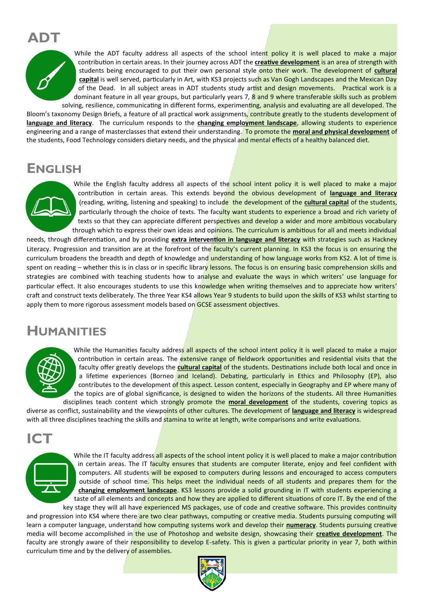## **ADT**



While the ADT faculty address all aspects of the school intent policy it is well placed to make a major contribution in certain areas. In their journey across ADT the **creative development** is an area of strength with students being encouraged to put their own personal style onto their work. The development of **cultural capital** is well served, particularly in Art, with KS3 projects such as Van Gogh Landscapes and the Mexican Day of the Dead. In all subject areas in ADT students study artist and design movements. Practical work is a dominant feature in all year groups, but particularly years 7, 8 and 9 where transferable skills such as problem solving, resilience, communicating in different forms, experimenting, analysis and evaluating are all developed. The

Bloom's taxonomy Design Briefs, a feature of all practical work assignments, contribute greatly to the students development of **language and literacy**. The curriculum responds to the **changing employment landscape**, allowing students to experience engineering and a range of masterclasses that extend their understanding. To promote the **moral and physical development** of the students, Food Technology considers dietary needs, and the physical and mental effects of a healthy balanced diet.

#### **ENGLISH**



While the English faculty address all aspects of the school intent policy it is well placed to make a major contribution in certain areas. This extends beyond the obvious development of **language and literacy** (reading, writing, listening and speaking) to include the development of the **cultural capital** of the students, particularly through the choice of texts. The faculty want students to experience a broad and rich variety of texts so that they can appreciate different perspectives and develop a wider and more ambitious vocabulary through which to express their own ideas and opinions. The curriculum is ambitious for all and meets individual

needs, through differentiation, and by providing **extra intervention in language and literacy** with strategies such as Hackney Literacy. Progression and transition are at the forefront of the faculty's current planning. In KS3 the focus is on ensuring the curriculum broadens the breadth and depth of knowledge and understanding of how language works from KS2. A lot of time is spent on reading – whether this is in class or in specific library lessons. The focus is on ensuring basic comprehension skills and strategies are combined with teaching students how to analyse and evaluate the ways in which writers' use language for particular effect. It also encourages students to use this knowledge when writing themselves and to appreciate how writers' craft and construct texts deliberately. The three Year KS4 allows Year 9 students to build upon the skills of KS3 whilst starting to apply them to more rigorous assessment models based on GCSE assessment objectives.

#### **HUMANITIES**



While the Humanities faculty address all aspects of the school intent policy it is well placed to make a major contribution in certain areas. The extensive range of fieldwork opportunities and residential visits that the faculty offer greatly develops the **cultural capital** of the students. Destinations include both local and once in a lifetime experiences (Borneo and Iceland). Debating, particularly in Ethics and Philosophy (EP), also contributes to the development of this aspect. Lesson content, especially in Geography and EP where many of the topics are of global significance, is designed to widen the horizons of the students. All three Humanities disciplines teach content which strongly promote the **moral development** of the students, covering topics as

diverse as conflict, sustainability and the viewpoints of other cultures. The development of **language and literacy** is widespread with all three disciplines teaching the skills and stamina to write at length, write comparisons and write evaluations.



While the IT faculty address all aspects of the school intent policy it is well placed to make a major contribution in certain areas. The IT faculty ensures that students are computer literate, enjoy and feel confident with computers. All students will be exposed to computers during lessons and encouraged to access computers outside of school time. This helps meet the individual needs of all students and prepares them for the **changing employment landscape**. KS3 lessons provide a solid grounding in IT with students experiencing a taste of all elements and concepts and how they are applied to different situations of core IT. By the end of the key stage they will all have experienced MS packages, use of code and creative software. This provides continuity

and progression into KS4 where there are two clear pathways, computing or creative media. Students pursuing computing will learn a computer language, understand how computing systems work and develop their **numeracy**. Students pursuing creative media will become accomplished in the use of Photoshop and website design, showcasing their **creative development**. The faculty are strongly aware of their responsibility to develop E-safety. This is given a particular priority in year 7, both within curriculum time and by the delivery of assemblies.

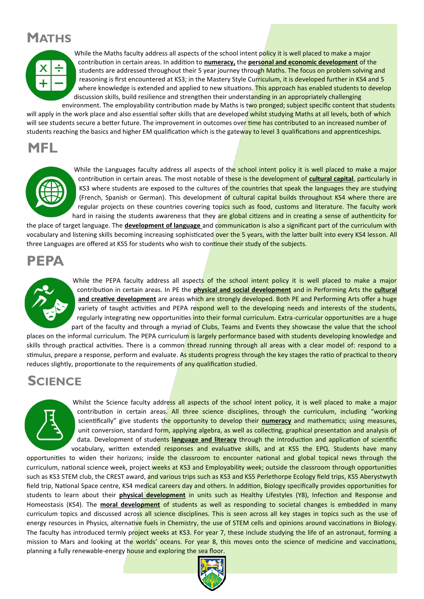## **MATHS**



While the Maths faculty address all aspects of the school intent policy it is well placed to make a major contribution in certain areas. In addition to **numeracy,** the **personal and economic development** of the students are addressed throughout their 5 year journey through Maths. The focus on problem solving and reasoning is first encountered at KS3; in the Mastery Style Curriculum, it is developed further in KS4 and 5 where knowledge is extended and applied to new situations. This approach has enabled students to develop discussion skills, build resilience and strengthen their understanding in an appropriately challenging environment. The employability contribution made by Maths is two pronged; subject specific content that students

will apply in the work place and also essential softer skills that are developed whilst studying Maths at all levels, both of which will see students secure a better future. The improvement in outcomes over time has contributed to an increased number of students reaching the basics and higher EM qualification which is the gateway to level 3 qualifications and apprenticeships.

#### **MFL**



While the Languages faculty address all aspects of the school intent policy it is well placed to make a major contribution in certain areas. The most notable of these is the development of **cultural capital**, particularly in KS3 where students are exposed to the cultures of the countries that speak the languages they are studying (French, Spanish or German). This development of cultural capital builds throughout KS4 where there are regular projects on these countries covering topics such as food, customs and literature. The faculty work hard in raising the students awareness that they are global citizens and in creating a sense of authenticity for

the place of target language. The **development of language** and communication is also a significant part of the curriculum with vocabulary and listening skills becoming increasing sophisticated over the 5 years, with the latter built into every KS4 lesson. All three Languages are offered at KS5 for students who wish to continue their study of the subjects.

## **PEPA**



While the PEPA faculty address all aspects of the school intent policy it is well placed to make a major contribution in certain areas. In PE the **physical and social development** and in Performing Arts the **cultural**  and creative development are areas which are strongly developed. Both PE and Performing Arts offer a huge variety of taught activities and PEPA respond well to the developing needs and interests of the students, regularly integrating new opportunities into their formal curriculum. Extra-curricular opportunities are a huge part of the faculty and through a myriad of Clubs, Teams and Events they showcase the value that the school

places on the informal curriculum. The PEPA curriculum is largely performance based with students developing knowledge and skills through practical activities. There is a common thread running through all areas with a clear model of: respond to a stimulus, prepare a response, perform and evaluate. As students progress through the key stages the ratio of practical to theory reduces slightly, proportionate to the requirements of any qualification studied.

#### **SCIENCE**



Whilst the Science faculty address all aspects of the school intent policy, it is well placed to make a major contribution in certain areas. All three science disciplines, through the curriculum, including "working scientifically" give students the opportunity to develop their **numeracy** and mathematics; using measures, unit conversion, standard form, applying algebra, as well as collecting, graphical presentation and analysis of data. Development of students **language and literacy** through the introduction and application of scientific vocabulary, written extended responses and evaluative skills, and at KS5 the EPQ. Students have many

opportunities to widen their horizons; inside the classroom to encounter national and global topical news through the curriculum, national science week, project weeks at KS3 and Employability week; outside the classroom through opportunities such as KS3 STEM club, the CREST award, and various trips such as KS3 and KS5 Perlethorpe Ecology field trips, KS5 Aberystwyth field trip, National Space centre, KS4 medical careers day and others. In addition, Biology specifically provides opportunities for students to learn about their **physical development** in units such as Healthy Lifestyles (Y8), Infection and Response and Homeostasis (KS4). The **moral development** of students as well as responding to societal changes is embedded in many curriculum topics and discussed across all science disciplines. This is seen across all key stages in topics such as the use of energy resources in Physics, alternative fuels in Chemistry, the use of STEM cells and opinions around vaccinations in Biology. The faculty has introduced termly project weeks at KS3. For year 7, these include studying the life of an astronaut, forming a mission to Mars and looking at the worlds' oceans. For year 8, this moves onto the science of medicine and vaccinations, planning a fully renewable-energy house and exploring the sea floor.